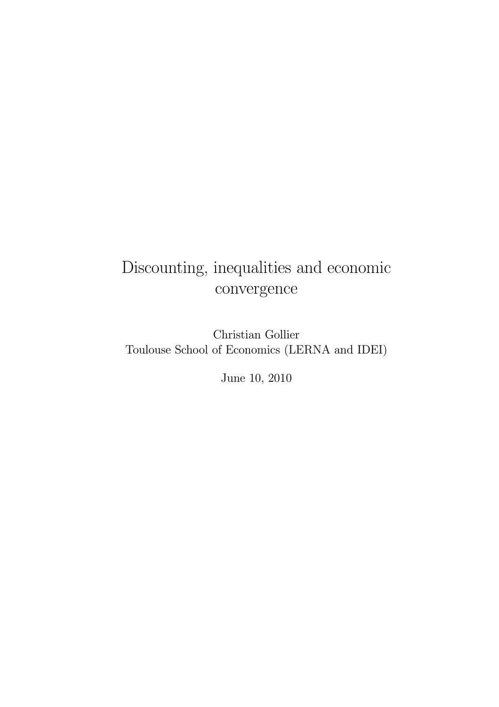# Discounting, inequalities and economic convergence

Christian Gollier Toulouse School of Economics (LERNA and IDEI)

June 10, 2010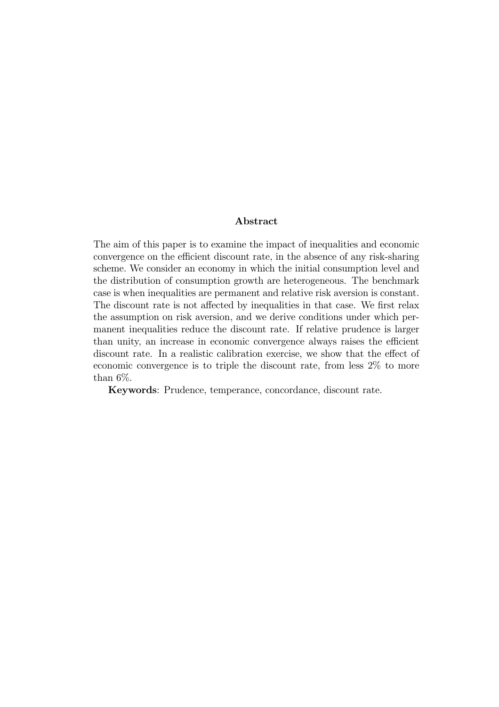#### Abstract

The aim of this paper is to examine the impact of inequalities and economic convergence on the efficient discount rate, in the absence of any risk-sharing scheme. We consider an economy in which the initial consumption level and the distribution of consumption growth are heterogeneous. The benchmark case is when inequalities are permanent and relative risk aversion is constant. The discount rate is not affected by inequalities in that case. We first relax the assumption on risk aversion, and we derive conditions under which permanent inequalities reduce the discount rate. If relative prudence is larger than unity, an increase in economic convergence always raises the efficient discount rate. In a realistic calibration exercise, we show that the effect of economic convergence is to triple the discount rate, from less 2% to more than 6%.

Keywords: Prudence, temperance, concordance, discount rate.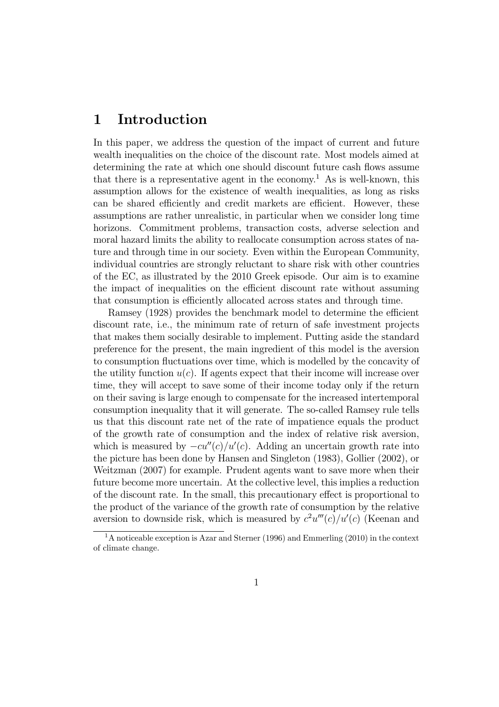### 1 Introduction

In this paper, we address the question of the impact of current and future wealth inequalities on the choice of the discount rate. Most models aimed at determining the rate at which one should discount future cash flows assume that there is a representative agent in the economy.<sup>1</sup> As is well-known, this assumption allows for the existence of wealth inequalities, as long as risks can be shared efficiently and credit markets are efficient. However, these assumptions are rather unrealistic, in particular when we consider long time horizons. Commitment problems, transaction costs, adverse selection and moral hazard limits the ability to reallocate consumption across states of nature and through time in our society. Even within the European Community, individual countries are strongly reluctant to share risk with other countries of the EC, as illustrated by the 2010 Greek episode. Our aim is to examine the impact of inequalities on the efficient discount rate without assuming that consumption is efficiently allocated across states and through time.

Ramsey (1928) provides the benchmark model to determine the efficient discount rate, i.e., the minimum rate of return of safe investment projects that makes them socially desirable to implement. Putting aside the standard preference for the present, the main ingredient of this model is the aversion to consumption fluctuations over time, which is modelled by the concavity of the utility function  $u(c)$ . If agents expect that their income will increase over time, they will accept to save some of their income today only if the return on their saving is large enough to compensate for the increased intertemporal consumption inequality that it will generate. The so-called Ramsey rule tells us that this discount rate net of the rate of impatience equals the product of the growth rate of consumption and the index of relative risk aversion, which is measured by  $-cu''(c)/u'(c)$ . Adding an uncertain growth rate into the picture has been done by Hansen and Singleton (1983), Gollier (2002), or Weitzman (2007) for example. Prudent agents want to save more when their future become more uncertain. At the collective level, this implies a reduction of the discount rate. In the small, this precautionary effect is proportional to the product of the variance of the growth rate of consumption by the relative aversion to downside risk, which is measured by  $c^2u'''(c)/u'(c)$  (Keenan and

<sup>&</sup>lt;sup>1</sup>A noticeable exception is Azar and Sterner (1996) and Emmerling (2010) in the context of climate change.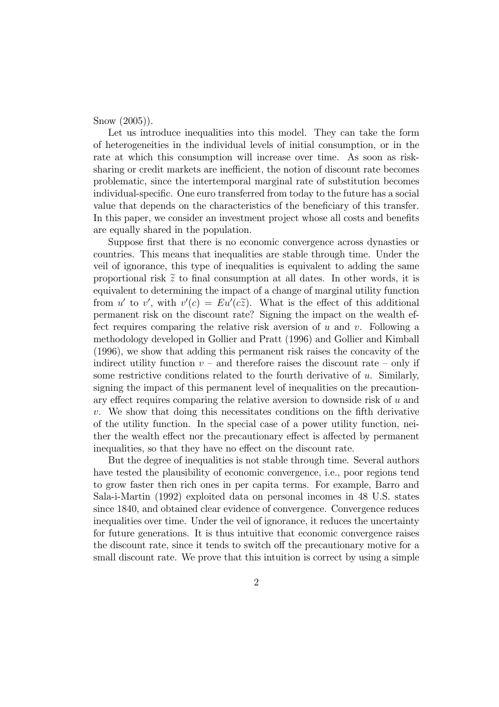Snow (2005)).

Let us introduce inequalities into this model. They can take the form of heterogeneities in the individual levels of initial consumption, or in the rate at which this consumption will increase over time. As soon as risksharing or credit markets are inefficient, the notion of discount rate becomes problematic, since the intertemporal marginal rate of substitution becomes individual-specific. One euro transferred from today to the future has a social value that depends on the characteristics of the beneficiary of this transfer. In this paper, we consider an investment project whose all costs and benefits are equally shared in the population.

Suppose first that there is no economic convergence across dynasties or countries. This means that inequalities are stable through time. Under the veil of ignorance, this type of inequalities is equivalent to adding the same proportional risk  $\tilde{z}$  to final consumption at all dates. In other words, it is equivalent to determining the impact of a change of marginal utility function from u' to v', with  $v'(c) = Eu'(c\tilde{z})$ . What is the effect of this additional permanent risk on the discount rate? Signing the impact on the wealth effect requires comparing the relative risk aversion of  $u$  and  $v$ . Following a methodology developed in Gollier and Pratt (1996) and Gollier and Kimball (1996), we show that adding this permanent risk raises the concavity of the indirect utility function  $v -$  and therefore raises the discount rate – only if some restrictive conditions related to the fourth derivative of u. Similarly, signing the impact of this permanent level of inequalities on the precautionary effect requires comparing the relative aversion to downside risk of u and v. We show that doing this necessitates conditions on the fifth derivative of the utility function. In the special case of a power utility function, neither the wealth effect nor the precautionary effect is affected by permanent inequalities, so that they have no effect on the discount rate.

But the degree of inequalities is not stable through time. Several authors have tested the plausibility of economic convergence, i.e., poor regions tend to grow faster then rich ones in per capita terms. For example, Barro and Sala-i-Martin (1992) exploited data on personal incomes in 48 U.S. states since 1840, and obtained clear evidence of convergence. Convergence reduces inequalities over time. Under the veil of ignorance, it reduces the uncertainty for future generations. It is thus intuitive that economic convergence raises the discount rate, since it tends to switch off the precautionary motive for a small discount rate. We prove that this intuition is correct by using a simple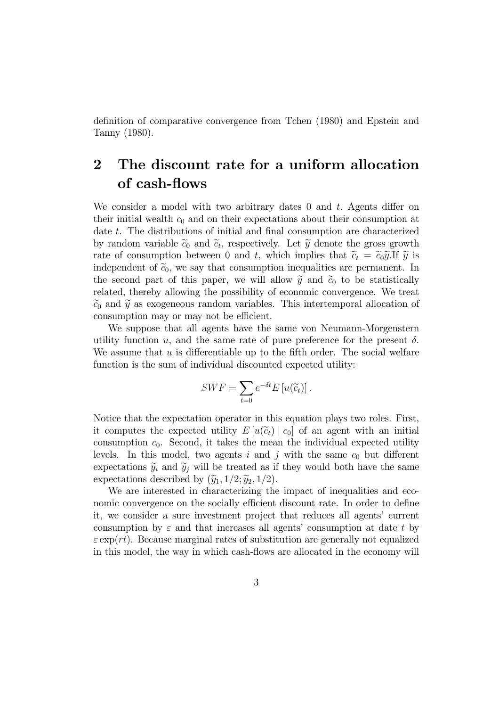definition of comparative convergence from Tchen (1980) and Epstein and Tanny (1980).

# 2 The discount rate for a uniform allocation of cash-flows

We consider a model with two arbitrary dates  $0$  and  $t$ . Agents differ on their initial wealth  $c_0$  and on their expectations about their consumption at date t. The distributions of initial and final consumption are characterized by random variable  $\tilde{c}_0$  and  $\tilde{c}_t$ , respectively. Let  $\tilde{y}$  denote the gross growth rate of consumption between 0 and t, which implies that  $\tilde{c}_t = \tilde{c}_0 \tilde{y}$ . If  $\tilde{y}$  is independent of  $\tilde{c}_0$ , we say that consumption inequalities are permanent. In the second part of this paper, we will allow  $\tilde{y}$  and  $\tilde{c}_0$  to be statistically related, thereby allowing the possibility of economic convergence. We treat  $\tilde{c}_0$  and  $\tilde{y}$  as exogeneous random variables. This intertemporal allocation of consumption may or may not be efficient.

We suppose that all agents have the same von Neumann-Morgenstern utility function u, and the same rate of pure preference for the present  $\delta$ . We assume that  $u$  is differentiable up to the fifth order. The social welfare function is the sum of individual discounted expected utility:

$$
SWF = \sum_{t=0} e^{-\delta t} E[u(\widetilde{c}_t)].
$$

Notice that the expectation operator in this equation plays two roles. First, it computes the expected utility  $E[u(\tilde{c}_t) | c_0]$  of an agent with an initial consumption  $c_0$ . Second, it takes the mean the individual expected utility levels. In this model, two agents i and j with the same  $c_0$  but different expectations  $\tilde{y}_i$  and  $\tilde{y}_j$  will be treated as if they would both have the same expectations described by  $(\widetilde{y}_1, 1/2; \widetilde{y}_2, 1/2)$ .

We are interested in characterizing the impact of inequalities and economic convergence on the socially efficient discount rate. In order to define it, we consider a sure investment project that reduces all agents' current consumption by  $\varepsilon$  and that increases all agents' consumption at date t by  $\varepsilon \exp(rt)$ . Because marginal rates of substitution are generally not equalized in this model, the way in which cash-flows are allocated in the economy will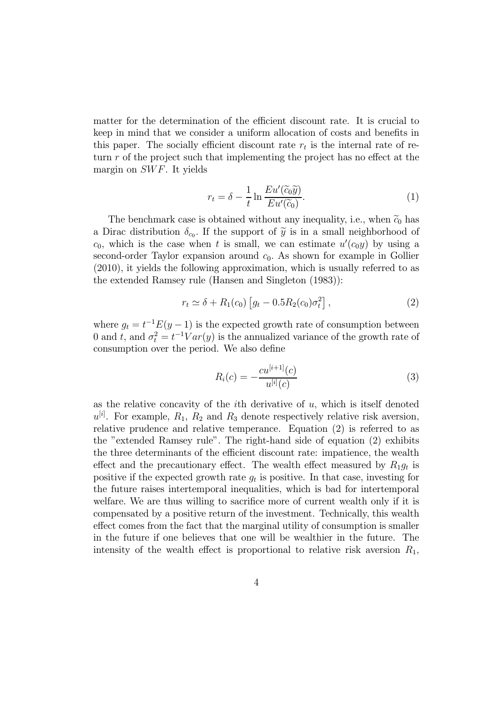matter for the determination of the efficient discount rate. It is crucial to keep in mind that we consider a uniform allocation of costs and benefits in this paper. The socially efficient discount rate  $r_t$  is the internal rate of return r of the project such that implementing the project has no effect at the margin on SWF. It yields

$$
r_t = \delta - \frac{1}{t} \ln \frac{E u'(\tilde{c}_0 \tilde{y})}{E u'(\tilde{c}_0)}.
$$
 (1)

The benchmark case is obtained without any inequality, i.e., when  $\tilde{c}_0$  has a Dirac distribution  $\delta_{c_0}$ . If the support of  $\tilde{y}$  is in a small neighborhood of  $c_0$ , which is the case when t is small, we can estimate  $u'(c_0y)$  by using a second-order Taylor expansion around  $c_0$ . As shown for example in Gollier (2010), it yields the following approximation, which is usually referred to as the extended Ramsey rule (Hansen and Singleton (1983)):

$$
r_t \simeq \delta + R_1(c_0) \left[ g_t - 0.5 R_2(c_0) \sigma_t^2 \right],
$$
 (2)

where  $g_t = t^{-1}E(y-1)$  is the expected growth rate of consumption between 0 and t, and  $\sigma_t^2 = t^{-1}Var(y)$  is the annualized variance of the growth rate of consumption over the period. We also define

$$
R_i(c) = -\frac{cu^{[i+1]}(c)}{u^{[i]}(c)}
$$
\n(3)

as the relative concavity of the  $i$ th derivative of  $u$ , which is itself denoted  $u^{[i]}$ . For example,  $R_1, R_2$  and  $R_3$  denote respectively relative risk aversion, relative prudence and relative temperance. Equation (2) is referred to as the "extended Ramsey rule". The right-hand side of equation (2) exhibits the three determinants of the efficient discount rate: impatience, the wealth effect and the precautionary effect. The wealth effect measured by  $R_1g_t$  is positive if the expected growth rate  $g_t$  is positive. In that case, investing for the future raises intertemporal inequalities, which is bad for intertemporal welfare. We are thus willing to sacrifice more of current wealth only if it is compensated by a positive return of the investment. Technically, this wealth effect comes from the fact that the marginal utility of consumption is smaller in the future if one believes that one will be wealthier in the future. The intensity of the wealth effect is proportional to relative risk aversion  $R_1$ ,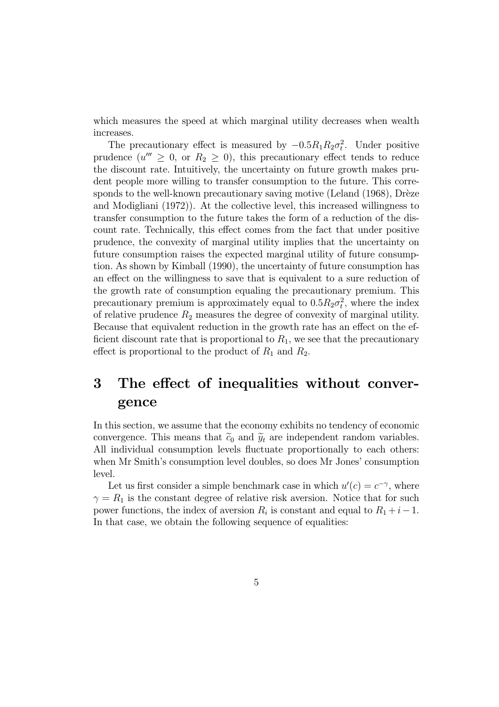which measures the speed at which marginal utility decreases when wealth increases.

The precautionary effect is measured by  $-0.5R_1R_2\sigma_t^2$ . Under positive prudence  $(u'' \geq 0, \text{ or } R_2 \geq 0)$ , this precautionary effect tends to reduce the discount rate. Intuitively, the uncertainty on future growth makes prudent people more willing to transfer consumption to the future. This corresponds to the well-known precautionary saving motive (Leland (1968), Drèze and Modigliani (1972)). At the collective level, this increased willingness to transfer consumption to the future takes the form of a reduction of the discount rate. Technically, this effect comes from the fact that under positive prudence, the convexity of marginal utility implies that the uncertainty on future consumption raises the expected marginal utility of future consumption. As shown by Kimball (1990), the uncertainty of future consumption has an effect on the willingness to save that is equivalent to a sure reduction of the growth rate of consumption equaling the precautionary premium. This precautionary premium is approximately equal to  $0.5R_2\sigma_t^2$ , where the index of relative prudence  $R_2$  measures the degree of convexity of marginal utility. Because that equivalent reduction in the growth rate has an effect on the efficient discount rate that is proportional to  $R_1$ , we see that the precautionary effect is proportional to the product of  $R_1$  and  $R_2$ .

# 3 The effect of inequalities without convergence

In this section, we assume that the economy exhibits no tendency of economic convergence. This means that  $\tilde{c}_0$  and  $\tilde{y}_t$  are independent random variables. All individual consumption levels fluctuate proportionally to each others: when Mr Smith's consumption level doubles, so does Mr Jones' consumption level.

Let us first consider a simple benchmark case in which  $u'(c) = c^{-\gamma}$ , where  $\gamma = R_1$  is the constant degree of relative risk aversion. Notice that for such power functions, the index of aversion  $R_i$  is constant and equal to  $R_1 + i - 1$ . In that case, we obtain the following sequence of equalities: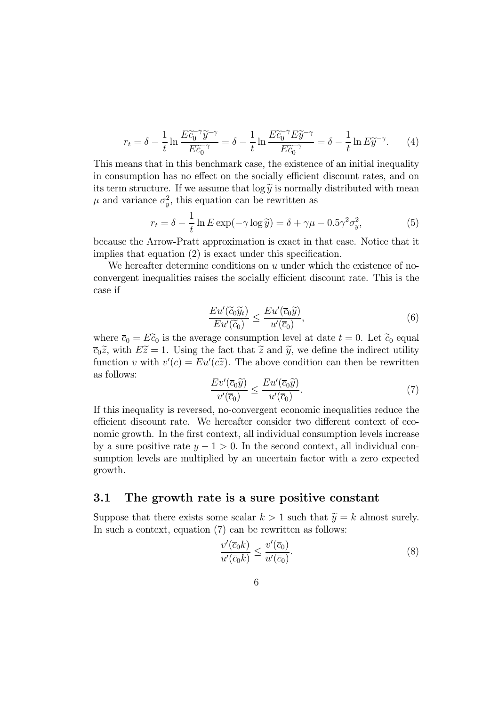$$
r_t = \delta - \frac{1}{t} \ln \frac{E\tilde{c}_0^{-\gamma} \tilde{y}^{-\gamma}}{E\tilde{c}_0^{-\gamma}} = \delta - \frac{1}{t} \ln \frac{E\tilde{c}_0^{-\gamma} E\tilde{y}^{-\gamma}}{E\tilde{c}_0^{-\gamma}} = \delta - \frac{1}{t} \ln E\tilde{y}^{-\gamma}.
$$
 (4)

This means that in this benchmark case, the existence of an initial inequality in consumption has no effect on the socially efficient discount rates, and on its term structure. If we assume that  $\log \tilde{y}$  is normally distributed with mean  $\mu$  and variance  $\sigma_y^2$ , this equation can be rewritten as

$$
r_t = \delta - \frac{1}{t} \ln E \exp(-\gamma \log \tilde{y}) = \delta + \gamma \mu - 0.5 \gamma^2 \sigma_y^2,\tag{5}
$$

because the Arrow-Pratt approximation is exact in that case. Notice that it implies that equation (2) is exact under this specification.

We hereafter determine conditions on u under which the existence of noconvergent inequalities raises the socially efficient discount rate. This is the case if

$$
\frac{Eu'(\widetilde{c}_0\widetilde{y}_t)}{Eu'(\widetilde{c}_0)} \le \frac{Eu'(\overline{c}_0\widetilde{y})}{u'(\overline{c}_0)},\tag{6}
$$

where  $\overline{c}_0 = E\widetilde{c}_0$  is the average consumption level at date  $t = 0$ . Let  $\widetilde{c}_0$  equal  $\overline{c}_0 = \widetilde{c}_0$  is the average consumption level at date  $t = 0$ . Let  $\widetilde{c}_0$  equal  $\overline{c}_0\tilde{z}$ , with  $E\tilde{z}=1$ . Using the fact that  $\tilde{z}$  and  $\tilde{y}$ , we define the indirect utility function v with  $v'(c) = E u'(c\tilde{z})$ . The above condition can then be rewritten as follows:

$$
\frac{Ev'(\overline{c}_0\widetilde{y})}{v'(\overline{c}_0)} \le \frac{Eu'(\overline{c}_0\widetilde{y})}{u'(\overline{c}_0)}.\tag{7}
$$

If this inequality is reversed, no-convergent economic inequalities reduce the efficient discount rate. We hereafter consider two different context of economic growth. In the first context, all individual consumption levels increase by a sure positive rate  $y - 1 > 0$ . In the second context, all individual consumption levels are multiplied by an uncertain factor with a zero expected growth.

#### 3.1 The growth rate is a sure positive constant

Suppose that there exists some scalar  $k > 1$  such that  $\widetilde{y} = k$  almost surely. In such a context, equation (7) can be rewritten as follows:

$$
\frac{v'(\overline{c}_0 k)}{u'(\overline{c}_0 k)} \le \frac{v'(\overline{c}_0)}{u'(\overline{c}_0)}.\tag{8}
$$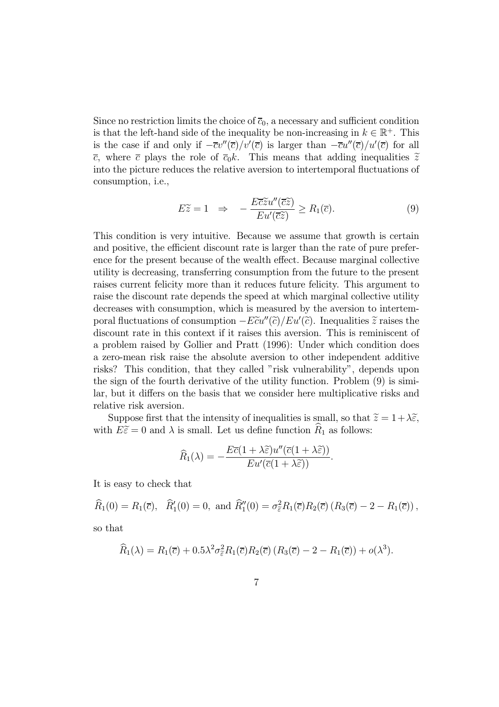Since no restriction limits the choice of  $\overline{c}_0$ , a necessary and sufficient condition is that the left-hand side of the inequality be non-increasing in  $k \in \mathbb{R}^+$ . This is the case if and only if  $-\overline{c}v''(\overline{c})/v'(\overline{c})$  is larger than  $-\overline{c}u''(\overline{c})/u'(\overline{c})$  for all  $\bar{c}$ , where  $\bar{c}$  plays the role of  $\bar{c}_0k$ . This means that adding inequalities  $\tilde{z}$ into the picture reduces the relative aversion to intertemporal fluctuations of consumption, i.e.,

$$
E\widetilde{z} = 1 \quad \Rightarrow \quad -\frac{E\overline{c}\widetilde{z}u''(\overline{c}\widetilde{z})}{Eu'(\overline{c}\widetilde{z})} \ge R_1(\overline{c}).\tag{9}
$$

This condition is very intuitive. Because we assume that growth is certain and positive, the efficient discount rate is larger than the rate of pure preference for the present because of the wealth effect. Because marginal collective utility is decreasing, transferring consumption from the future to the present raises current felicity more than it reduces future felicity. This argument to raise the discount rate depends the speed at which marginal collective utility decreases with consumption, which is measured by the aversion to intertemporal fluctuations of consumption  $-E\tilde{c}u''(\tilde{c})/Eu'(\tilde{c})$ . Inequalities  $\tilde{z}$  raises the discount rate in this context if it raises this aversion. This is reminiscent of a problem raised by Gollier and Pratt (1996): Under which condition does a zero-mean risk raise the absolute aversion to other independent additive risks? This condition, that they called "risk vulnerability", depends upon the sign of the fourth derivative of the utility function. Problem (9) is similar, but it differs on the basis that we consider here multiplicative risks and relative risk aversion.

Suppose first that the intensity of inequalities is small, so that  $\tilde{z} = 1 + \lambda \tilde{\epsilon}$ , with  $E\tilde{\epsilon}=0$  and  $\lambda$  is small. Let us define function  $R_1$  as follows:

$$
\widehat{R}_1(\lambda) = -\frac{E\overline{c}(1+\lambda\widetilde{\varepsilon})u''(\overline{c}(1+\lambda\widetilde{\varepsilon}))}{E u'(\overline{c}(1+\lambda\widetilde{\varepsilon}))}.
$$

It is easy to check that

$$
\widehat{R}_1(0) = R_1(\overline{c}), \quad \widehat{R}'_1(0) = 0, \text{ and } \widehat{R}''_1(0) = \sigma_{\widetilde{\varepsilon}}^2 R_1(\overline{c}) R_2(\overline{c}) (R_3(\overline{c}) - 2 - R_1(\overline{c})),
$$

so that

$$
\widehat{R}_1(\lambda) = R_1(\overline{c}) + 0.5\lambda^2 \sigma_{\overline{\varepsilon}}^2 R_1(\overline{c}) R_2(\overline{c}) (R_3(\overline{c}) - 2 - R_1(\overline{c})) + o(\lambda^3).
$$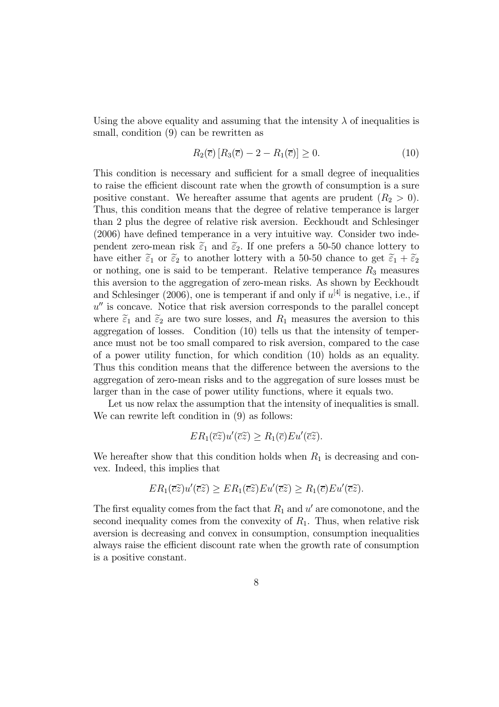Using the above equality and assuming that the intensity  $\lambda$  of inequalities is small, condition (9) can be rewritten as

$$
R_2(\overline{c}) [R_3(\overline{c}) - 2 - R_1(\overline{c})] \ge 0.
$$
 (10)

This condition is necessary and sufficient for a small degree of inequalities to raise the efficient discount rate when the growth of consumption is a sure positive constant. We hereafter assume that agents are prudent  $(R_2 > 0)$ . Thus, this condition means that the degree of relative temperance is larger than 2 plus the degree of relative risk aversion. Eeckhoudt and Schlesinger (2006) have defined temperance in a very intuitive way. Consider two independent zero-mean risk  $\tilde{\varepsilon}_1$  and  $\tilde{\varepsilon}_2$ . If one prefers a 50-50 chance lottery to have either  $\tilde{\varepsilon}_1$  or  $\tilde{\varepsilon}_2$  to another lottery with a 50-50 chance to get  $\tilde{\varepsilon}_1 + \tilde{\varepsilon}_2$ or nothing, one is said to be temperant. Relative temperance  $R_3$  measures this aversion to the aggregation of zero-mean risks. As shown by Eeckhoudt and Schlesinger (2006), one is temperant if and only if  $u^{[4]}$  is negative, i.e., if  $u''$  is concave. Notice that risk aversion corresponds to the parallel concept where  $\tilde{\varepsilon}_1$  and  $\tilde{\varepsilon}_2$  are two sure losses, and  $R_1$  measures the aversion to this aggregation of losses. Condition (10) tells us that the intensity of temperance must not be too small compared to risk aversion, compared to the case of a power utility function, for which condition (10) holds as an equality. Thus this condition means that the difference between the aversions to the aggregation of zero-mean risks and to the aggregation of sure losses must be larger than in the case of power utility functions, where it equals two.

Let us now relax the assumption that the intensity of inequalities is small. We can rewrite left condition in  $(9)$  as follows:

$$
ER_1(\overline{c}\widetilde{z})u'(\overline{c}\widetilde{z}) \geq R_1(\overline{c})Eu'(\overline{c}\widetilde{z}).
$$

We hereafter show that this condition holds when  $R_1$  is decreasing and convex. Indeed, this implies that

$$
ER_1(\overline{c}\widetilde{z})u'(\overline{c}\widetilde{z}) \ge ER_1(\overline{c}\widetilde{z})Eu'(\overline{c}\widetilde{z}) \ge R_1(\overline{c})Eu'(\overline{c}\widetilde{z}).
$$

The first equality comes from the fact that  $R_1$  and u' are comonotone, and the second inequality comes from the convexity of  $R_1$ . Thus, when relative risk aversion is decreasing and convex in consumption, consumption inequalities always raise the efficient discount rate when the growth rate of consumption is a positive constant.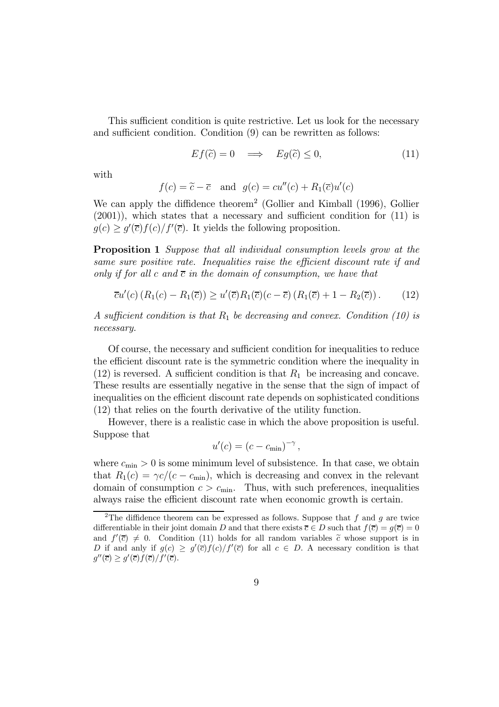This sufficient condition is quite restrictive. Let us look for the necessary and sufficient condition. Condition (9) can be rewritten as follows:

$$
Ef(\tilde{c}) = 0 \implies Eg(\tilde{c}) \le 0,
$$
\n(11)

with

$$
f(c) = \tilde{c} - \overline{c}
$$
 and  $g(c) = cu''(c) + R_1(\overline{c})u'(c)$ 

We can apply the diffidence theorem<sup>2</sup> (Gollier and Kimball (1996), Gollier (2001)), which states that a necessary and sufficient condition for (11) is  $g(c) \ge g'(\overline{c})f(c)/f'(\overline{c})$ . It yields the following proposition.

Proposition 1 Suppose that all individual consumption levels grow at the same sure positive rate. Inequalities raise the efficient discount rate if and only if for all c and  $\bar{c}$  in the domain of consumption, we have that

$$
\overline{c}u'(c) (R_1(c) - R_1(\overline{c})) \ge u'(\overline{c})R_1(\overline{c})(c - \overline{c}) (R_1(\overline{c}) + 1 - R_2(\overline{c})). \tag{12}
$$

A sufficient condition is that  $R_1$  be decreasing and convex. Condition (10) is necessary.

Of course, the necessary and sufficient condition for inequalities to reduce the efficient discount rate is the symmetric condition where the inequality in  $(12)$  is reversed. A sufficient condition is that  $R_1$  be increasing and concave. These results are essentially negative in the sense that the sign of impact of inequalities on the efficient discount rate depends on sophisticated conditions (12) that relies on the fourth derivative of the utility function.

However, there is a realistic case in which the above proposition is useful. Suppose that

$$
u'(c) = (c - c_{\min})^{-\gamma},
$$

where  $c_{\min} > 0$  is some minimum level of subsistence. In that case, we obtain that  $R_1(c) = \gamma c/(c - c_{\text{min}})$ , which is decreasing and convex in the relevant domain of consumption  $c>c<sub>min</sub>$ . Thus, with such preferences, inequalities always raise the efficient discount rate when economic growth is certain.

<sup>&</sup>lt;sup>2</sup>The diffidence theorem can be expressed as follows. Suppose that  $f$  and  $g$  are twice differentiable in their joint domain D and that there exists  $\overline{c} \in D$  such that  $f(\overline{c}) = g(\overline{c}) = 0$ and  $f'(\bar{c}) \neq 0$ . Condition (11) holds for all random variables  $\tilde{c}$  whose support is in D if and anly if  $g(c) \geq g'(\overline{c})f(c)/f'(\overline{c})$  for all  $c \in D$ . A necessary condition is that  $g''(\overline{c}) \geq g'(\overline{c})f(\overline{c})/f'(\overline{c}).$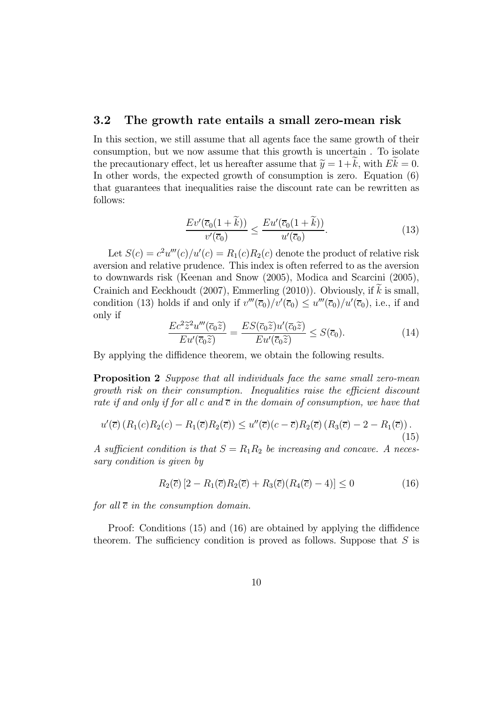#### 3.2 The growth rate entails a small zero-mean risk

In this section, we still assume that all agents face the same growth of their consumption, but we now assume that this growth is uncertain . To isolate the precautionary effect, let us hereafter assume that  $\tilde{y} = 1+k$ , with  $Ek = 0$ . In other words, the expected growth of consumption is zero. Equation (6) that guarantees that inequalities raise the discount rate can be rewritten as follows:

$$
\frac{Ev'(\overline{c}_0(1+\tilde{k}))}{v'(\overline{c}_0)} \le \frac{Eu'(\overline{c}_0(1+\tilde{k}))}{u'(\overline{c}_0)}.
$$
\n(13)

Let  $S(c) = c^2 u'''(c)/u'(c) = R_1(c)R_2(c)$  denote the product of relative risk aversion and relative prudence. This index is often referred to as the aversion to downwards risk (Keenan and Snow (2005), Modica and Scarcini (2005), Crainich and Eeckhoudt (2007), Emmerling (2010)). Obviously, if  $\tilde{k}$  is small, condition (13) holds if and only if  $v'''(\overline{c}_0)/v'(\overline{c}_0) \le u'''(\overline{c}_0)/u'(\overline{c}_0)$ , i.e., if and only if

$$
\frac{Ec^2 \widetilde{z}^2 u'''(\overline{c}_0 \widetilde{z})}{Eu'(\overline{c}_0 \widetilde{z})} = \frac{ES(\overline{c}_0 \widetilde{z}) u'(\overline{c}_0 \widetilde{z})}{Eu'(\overline{c}_0 \widetilde{z})} \le S(\overline{c}_0). \tag{14}
$$

By applying the diffidence theorem, we obtain the following results.

**Proposition 2** Suppose that all individuals face the same small zero-mean growth risk on their consumption. Inequalities raise the efficient discount rate if and only if for all c and  $\bar{c}$  in the domain of consumption, we have that

$$
u'(\overline{c})\left(R_1(c)R_2(c) - R_1(\overline{c})R_2(\overline{c})\right) \le u''(\overline{c})(c - \overline{c})R_2(\overline{c})\left(R_3(\overline{c}) - 2 - R_1(\overline{c})\right).
$$
\n(15)

A sufficient condition is that  $S = R_1R_2$  be increasing and concave. A necessary condition is given by

$$
R_2(\overline{c})\left[2 - R_1(\overline{c})R_2(\overline{c}) + R_3(\overline{c})(R_4(\overline{c}) - 4)\right] \le 0 \tag{16}
$$

for all  $\bar{c}$  in the consumption domain.

Proof: Conditions (15) and (16) are obtained by applying the diffidence theorem. The sufficiency condition is proved as follows. Suppose that  $S$  is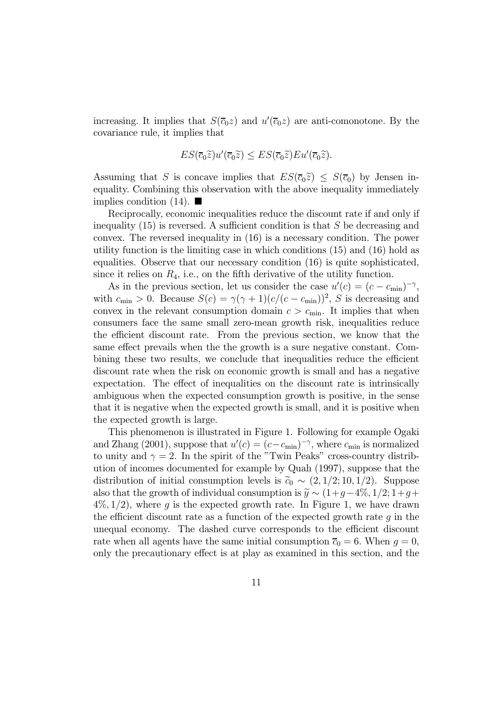increasing. It implies that  $S(\bar{c}_0 z)$  and  $u'(\bar{c}_0 z)$  are anti-comonotone. By the covariance rule, it implies that

$$
ES(\overline{c}_0\widetilde{z})u'(\overline{c}_0\widetilde{z}) \leq ES(\overline{c}_0\widetilde{z})Eu'(\overline{c}_0\widetilde{z}).
$$

Assuming that S is concave implies that  $ES(\bar{c}_0\tilde{z}) \leq S(\bar{c}_0)$  by Jensen inequality. Combining this observation with the above inequality immediately implies condition  $(14)$ .

Reciprocally, economic inequalities reduce the discount rate if and only if inequality  $(15)$  is reversed. A sufficient condition is that S be decreasing and convex. The reversed inequality in (16) is a necessary condition. The power utility function is the limiting case in which conditions (15) and (16) hold as equalities. Observe that our necessary condition (16) is quite sophisticated, since it relies on  $R_4$ , i.e., on the fifth derivative of the utility function.

As in the previous section, let us consider the case  $u'(c) = (c - c_{\min})^{-\gamma}$ , with  $c_{\min} > 0$ . Because  $S(c) = \gamma(\gamma + 1)(c/(c - c_{\min}))^2$ , S is decreasing and convex in the relevant consumption domain  $c > c_{\text{min}}$ . It implies that when consumers face the same small zero-mean growth risk, inequalities reduce the efficient discount rate. From the previous section, we know that the same effect prevails when the the growth is a sure negative constant. Combining these two results, we conclude that inequalities reduce the efficient discount rate when the risk on economic growth is small and has a negative expectation. The effect of inequalities on the discount rate is intrinsically ambiguous when the expected consumption growth is positive, in the sense that it is negative when the expected growth is small, and it is positive when the expected growth is large.

This phenomenon is illustrated in Figure 1. Following for example Ogaki and Zhang (2001), suppose that  $u'(c) = (c - c_{\min})^{-\gamma}$ , where  $c_{\min}$  is normalized to unity and  $\gamma = 2$ . In the spirit of the "Twin Peaks" cross-country distribution of incomes documented for example by Quah (1997), suppose that the distribution of initial consumption levels is  $\tilde{c}_0 \sim (2, 1/2; 10, 1/2)$ . Suppose also that the growth of individual consumption is  $\widetilde{y} \sim (1+g-4\%, 1/2; 1+g+$  $4\%, 1/2$ , where g is the expected growth rate. In Figure 1, we have drawn the efficient discount rate as a function of the expected growth rate  $q$  in the unequal economy. The dashed curve corresponds to the efficient discount rate when all agents have the same initial consumption  $\overline{c}_0 = 6$ . When  $g = 0$ , only the precautionary effect is at play as examined in this section, and the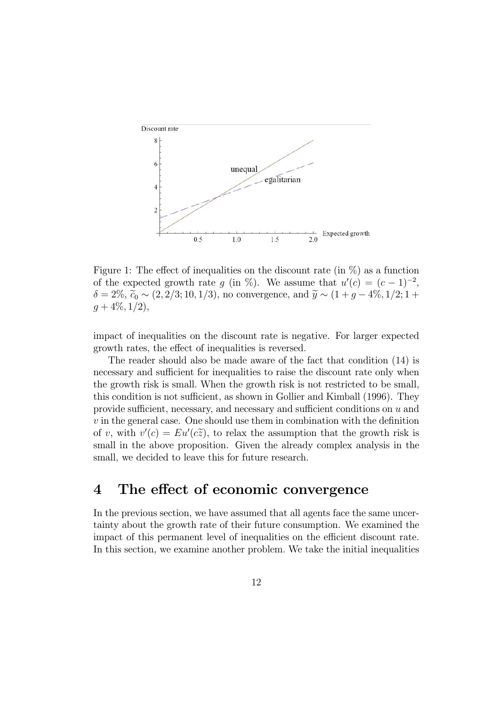

Figure 1: The effect of inequalities on the discount rate (in  $\%$ ) as a function of the expected growth rate g (in %). We assume that  $u'(c) = (c - 1)^{-2}$ ,  $\delta = 2\%, \, \widetilde{c}_0 \sim (2, 2/3; 10, 1/3)$ , no convergence, and  $\widetilde{y} \sim (1 + g - 4\%, 1/2; 1 +$  $g + 4\%, 1/2,$ 

impact of inequalities on the discount rate is negative. For larger expected growth rates, the effect of inequalities is reversed.

The reader should also be made aware of the fact that condition (14) is necessary and sufficient for inequalities to raise the discount rate only when the growth risk is small. When the growth risk is not restricted to be small, this condition is not sufficient, as shown in Gollier and Kimball (1996). They provide sufficient, necessary, and necessary and sufficient conditions on u and  $v$  in the general case. One should use them in combination with the definition of v, with  $v'(c) = Eu'(c\tilde{z})$ , to relax the assumption that the growth risk is small in the above proposition. Given the already complex analysis in the small, we decided to leave this for future research.

### 4 The effect of economic convergence

In the previous section, we have assumed that all agents face the same uncertainty about the growth rate of their future consumption. We examined the impact of this permanent level of inequalities on the efficient discount rate. In this section, we examine another problem. We take the initial inequalities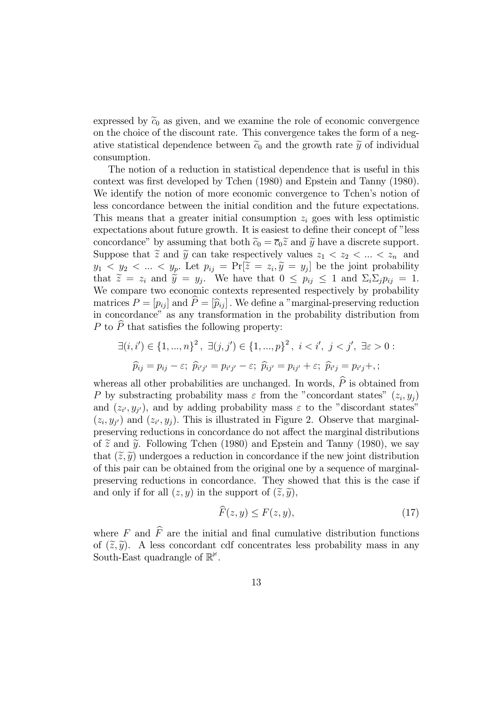expressed by  $\tilde{c}_0$  as given, and we examine the role of economic convergence on the choice of the discount rate. This convergence takes the form of a negative statistical dependence between  $\tilde{c}_0$  and the growth rate  $\tilde{y}$  of individual consumption.

The notion of a reduction in statistical dependence that is useful in this context was first developed by Tchen (1980) and Epstein and Tanny (1980). We identify the notion of more economic convergence to Tchen's notion of less concordance between the initial condition and the future expectations. This means that a greater initial consumption  $z_i$  goes with less optimistic expectations about future growth. It is easiest to define their concept of "less concordance" by assuming that both  $\tilde{c}_0 = \overline{c}_0 \tilde{z}$  and  $\tilde{y}$  have a discrete support. Suppose that  $\tilde{z}$  and  $\tilde{y}$  can take respectively values  $z_1 < z_2 < \ldots < z_n$  and  $y_1 \langle y_2 \rangle \langle \dots \langle y_p \rangle$ . Let  $p_{ij} = \Pr[\tilde{z} = z_i, \tilde{y} = y_j]$  be the joint probability that  $\tilde{z} = z_i$  and  $\tilde{y} = y_j$ . We have that  $0 \leq p_{ij} \leq 1$  and  $\Sigma_i \Sigma_j p_{ij} = 1$ . We compare two economic contexts represented respectively by probability matrices  $P = [p_{ij}]$  and  $\hat{P} = [\hat{p}_{ij}]$ . We define a "marginal-preserving reduction in concordance" as any transformation in the probability distribution from P to  $\widehat{P}$  that satisfies the following property:

$$
\exists (i, i') \in \{1, ..., n\}^2, \ \exists (j, j') \in \{1, ..., p\}^2, \ i < i', \ j < j', \ \exists \varepsilon > 0 : \ \widehat{p}_{ij} = p_{ij} - \varepsilon; \ \widehat{p}_{i'j'} = p_{i'j'} - \varepsilon; \ \widehat{p}_{ij'} = p_{ij'} + \varepsilon; \ \widehat{p}_{i'j} = p_{i'j} + \varepsilon;
$$

whereas all other probabilities are unchanged. In words,  $P$  is obtained from P by substracting probability mass  $\varepsilon$  from the "concordant states"  $(z_i, y_j)$ and  $(z_{i}, y_{j'})$ , and by adding probability mass  $\varepsilon$  to the "discordant states"  $(z_i, y_{i'})$  and  $(z_{i'}, y_i)$ . This is illustrated in Figure 2. Observe that marginalpreserving reductions in concordance do not affect the marginal distributions of  $\tilde{z}$  and  $\tilde{y}$ . Following Tchen (1980) and Epstein and Tanny (1980), we say that  $(\tilde{z}, \tilde{y})$  undergoes a reduction in concordance if the new joint distribution of this pair can be obtained from the original one by a sequence of marginalpreserving reductions in concordance. They showed that this is the case if and only if for all  $(z, y)$  in the support of  $(\tilde{z}, \tilde{y})$ ,

$$
\widehat{F}(z,y) \le F(z,y),\tag{17}
$$

where  $F$  and  $\widehat{F}$  are the initial and final cumulative distribution functions of  $(\tilde{z}, \tilde{y})$ . A less concordant cdf concentrates less probability mass in any South-East quadrangle of  $\mathbb{R}^{\not\vdash}$ .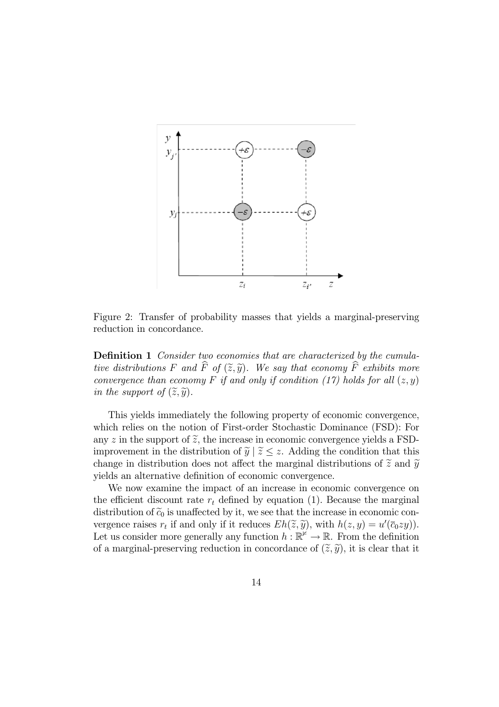

Figure 2: Transfer of probability masses that yields a marginal-preserving reduction in concordance.

Definition 1 Consider two economies that are characterized by the cumulative distributions F and  $\widehat{F}$  of  $(\widetilde{z}, \widetilde{y})$ . We say that economy  $\widehat{F}$  exhibits more convergence than economy F if and only if condition (17) holds for all  $(z, y)$ in the support of  $(\widetilde{z}, \widetilde{y})$ .

This yields immediately the following property of economic convergence, which relies on the notion of First-order Stochastic Dominance (FSD): For any z in the support of  $\tilde{z}$ , the increase in economic convergence yields a FSDimprovement in the distribution of  $\widetilde{y} | \widetilde{z} \leq z$ . Adding the condition that this change in distribution does not affect the marginal distributions of  $\tilde{z}$  and  $\tilde{y}$ yields an alternative definition of economic convergence.

We now examine the impact of an increase in economic convergence on the efficient discount rate  $r_t$  defined by equation (1). Because the marginal distribution of  $\tilde{c}_0$  is unaffected by it, we see that the increase in economic convergence raises  $r_t$  if and only if it reduces  $Eh(\tilde{z}, \tilde{y})$ , with  $h(z, y) = u'(\bar{c}_0zy)$ . Let us consider more generally any function  $h : \mathbb{R}^{\not\vdash} \to \mathbb{R}$ . From the definition of a marginal-preserving reduction in concordance of  $(\tilde{z}, \tilde{y})$ , it is clear that it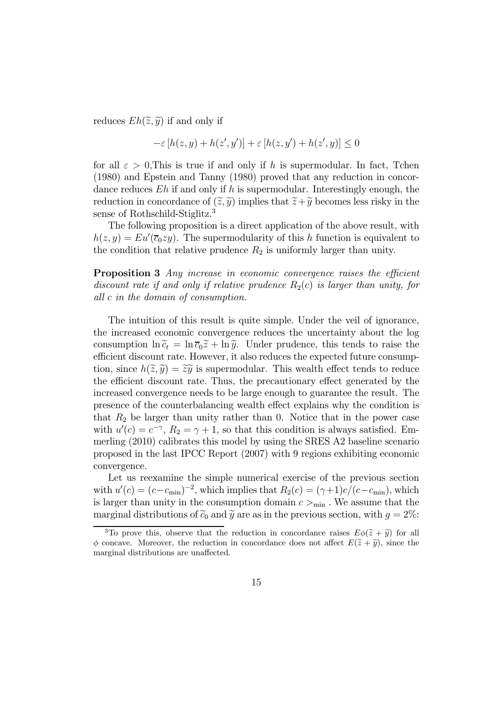reduces  $Eh(\tilde{z}, \tilde{y})$  if and only if

$$
-\varepsilon [h(z, y) + h(z', y')] + \varepsilon [h(z, y') + h(z', y)] \le 0
$$

for all  $\varepsilon > 0$ , This is true if and only if h is supermodular. In fact, Tchen (1980) and Epstein and Tanny (1980) proved that any reduction in concordance reduces  $Eh$  if and only if h is supermodular. Interestingly enough, the reduction in concordance of  $(\tilde{z}, \tilde{y})$  implies that  $\tilde{z}+\tilde{y}$  becomes less risky in the sense of Rothschild-Stiglitz.<sup>3</sup>

The following proposition is a direct application of the above result, with  $h(z, y) = Eu'(\overline{c}_0zy)$ . The supermodularity of this h function is equivalent to the condition that relative prudence  $R_2$  is uniformly larger than unity.

Proposition 3 Any increase in economic convergence raises the efficient discount rate if and only if relative prudence  $R_2(c)$  is larger than unity, for all c in the domain of consumption.

The intuition of this result is quite simple. Under the veil of ignorance, the increased economic convergence reduces the uncertainty about the log consumption  $\ln \tilde{c}_t = \ln \overline{c}_0 \tilde{z} + \ln \tilde{y}$ . Under prudence, this tends to raise the efficient discount rate. However, it also reduces the expected future consumption, since  $h(\tilde{z}, \tilde{y}) = \tilde{z}\tilde{y}$  is supermodular. This wealth effect tends to reduce the efficient discount rate. Thus, the precautionary effect generated by the increased convergence needs to be large enough to guarantee the result. The presence of the counterbalancing wealth effect explains why the condition is that  $R_2$  be larger than unity rather than 0. Notice that in the power case with  $u'(c) = c^{-\gamma}$ ,  $R_2 = \gamma + 1$ , so that this condition is always satisfied. Emmerling (2010) calibrates this model by using the SRES A2 baseline scenario proposed in the last IPCC Report (2007) with 9 regions exhibiting economic convergence.

Let us reexamine the simple numerical exercise of the previous section with  $u'(c) = (c - c_{\min})^{-2}$ , which implies that  $R_2(c) = (\gamma + 1)c/(c - c_{\min})$ , which is larger than unity in the consumption domain  $c >_{\min}$ . We assume that the marginal distributions of  $\tilde{c}_0$  and  $\tilde{y}$  are as in the previous section, with  $g = 2\%$ :

<sup>&</sup>lt;sup>3</sup>To prove this, observe that the reduction in concordance raises  $E\phi(\tilde{z}+\tilde{y})$  for all  $\phi$  concave. Moreover, the reduction in concordance does not affect  $E(\tilde{z}+\tilde{y})$ , since the marginal distributions are unaffected.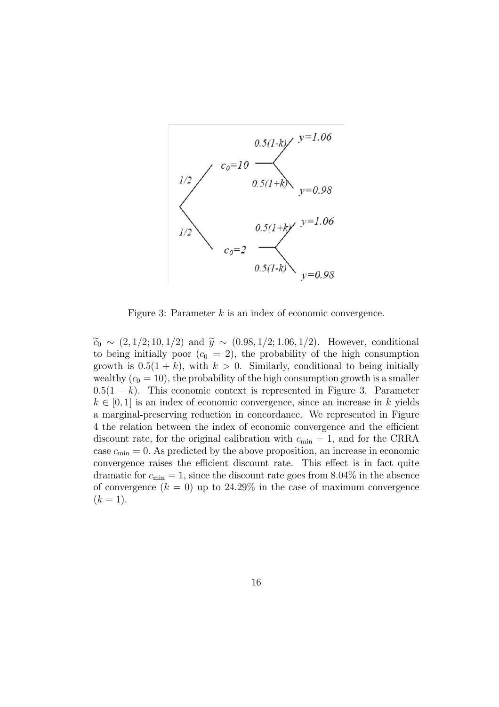

Figure 3: Parameter  $k$  is an index of economic convergence.

 $\tilde{c}_0 \sim (2, 1/2; 10, 1/2)$  and  $\tilde{y} \sim (0.98, 1/2; 1.06, 1/2)$ . However, conditional to being initially poor  $(c_0 = 2)$ , the probability of the high consumption growth is  $0.5(1 + k)$ , with  $k > 0$ . Similarly, conditional to being initially wealthy  $(c_0 = 10)$ , the probability of the high consumption growth is a smaller  $0.5(1 - k)$ . This economic context is represented in Figure 3. Parameter  $k \in [0, 1]$  is an index of economic convergence, since an increase in k yields a marginal-preserving reduction in concordance. We represented in Figure 4 the relation between the index of economic convergence and the efficient discount rate, for the original calibration with  $c_{\min} = 1$ , and for the CRRA case  $c_{\min} = 0$ . As predicted by the above proposition, an increase in economic convergence raises the efficient discount rate. This effect is in fact quite dramatic for  $c_{\min} = 1$ , since the discount rate goes from 8.04% in the absence of convergence  $(k = 0)$  up to 24.29% in the case of maximum convergence  $(k = 1).$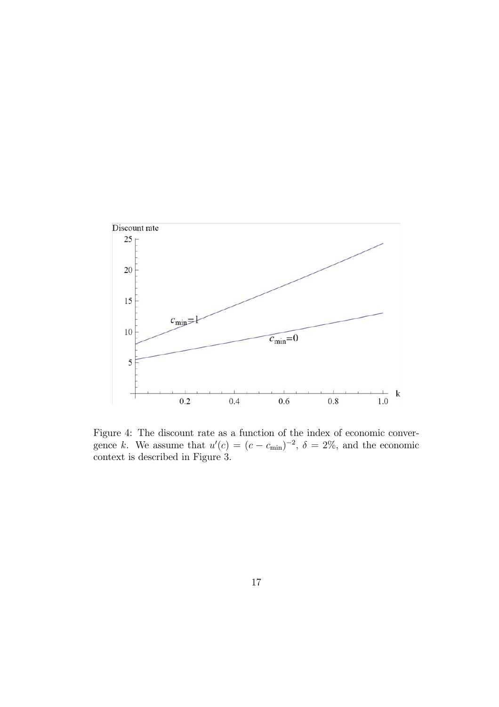

Figure 4: The discount rate as a function of the index of economic convergence k. We assume that  $u'(c) = (c - c_{\min})^{-2}$ ,  $\delta = 2\%$ , and the economic context is described in Figure 3.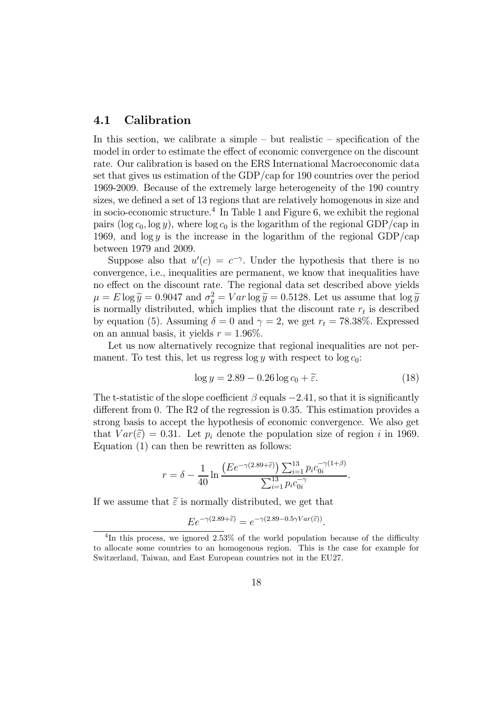#### 4.1 Calibration

In this section, we calibrate a simple — but realistic — specification of the model in order to estimate the effect of economic convergence on the discount rate. Our calibration is based on the ERS International Macroeconomic data set that gives us estimation of the GDP/cap for 190 countries over the period 1969-2009. Because of the extremely large heterogeneity of the 190 country sizes, we defined a set of 13 regions that are relatively homogenous in size and in socio-economic structure.<sup>4</sup> In Table 1 and Figure 6, we exhibit the regional pairs (log  $c_0$ , log y), where log  $c_0$  is the logarithm of the regional GDP/cap in 1969, and  $\log y$  is the increase in the logarithm of the regional GDP/cap between 1979 and 2009.

Suppose also that  $u'(c) = c^{-\gamma}$ . Under the hypothesis that there is no convergence, i.e., inequalities are permanent, we know that inequalities have no effect on the discount rate. The regional data set described above yields  $\mu = E \log \tilde{y} = 0.9047$  and  $\sigma_y^2 = Var \log \tilde{y} = 0.5128$ . Let us assume that  $\log \tilde{y}$ is normally distributed, which implies that the discount rate  $r_t$  is described by equation (5). Assuming  $\delta = 0$  and  $\gamma = 2$ , we get  $r_t = 78.38\%$ . Expressed on an annual basis, it yields  $r = 1.96\%$ .

Let us now alternatively recognize that regional inequalities are not permanent. To test this, let us regress  $\log y$  with respect to  $\log c_0$ :

$$
\log y = 2.89 - 0.26 \log c_0 + \tilde{\varepsilon}.\tag{18}
$$

The t-statistic of the slope coefficient  $\beta$  equals  $-2.41$ , so that it is significantly different from 0. The R2 of the regression is 0.35. This estimation provides a strong basis to accept the hypothesis of economic convergence. We also get that  $Var(\tilde{\varepsilon})=0.31$ . Let  $p_i$  denote the population size of region i in 1969. Equation (1) can then be rewritten as follows:

$$
r = \delta - \frac{1}{40} \ln \frac{\left( E e^{-\gamma (2.89 + \tilde{\varepsilon})} \right) \sum_{i=1}^{13} p_i c_{0i}^{-\gamma (1+\beta)}}{\sum_{i=1}^{13} p_i c_{0i}^{-\gamma}}.
$$

If we assume that  $\tilde{\varepsilon}$  is normally distributed, we get that

$$
Ee^{-\gamma(2.89+\tilde{\varepsilon})} = e^{-\gamma(2.89-0.5\gamma Var(\tilde{\varepsilon}))}.
$$

<sup>&</sup>lt;sup>4</sup>In this process, we ignored 2.53% of the world population because of the difficulty to allocate some countries to an homogenous region. This is the case for example for Switzerland, Taiwan, and East European countries not in the EU27.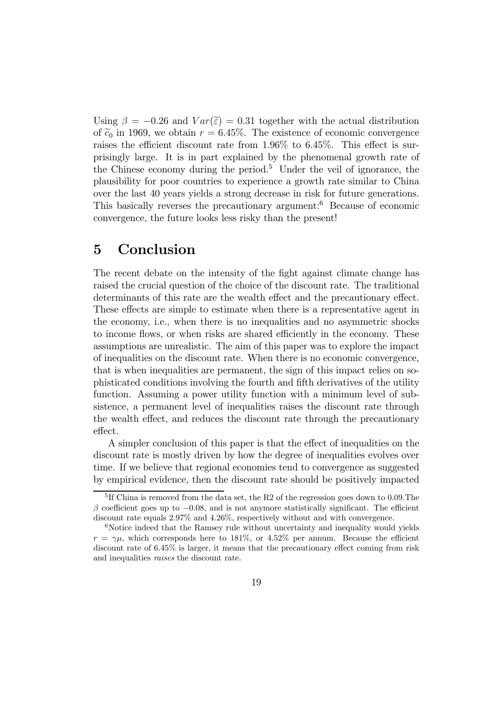Using  $\beta = -0.26$  and  $Var(\tilde{\varepsilon})=0.31$  together with the actual distribution of  $\tilde{c}_0$  in 1969, we obtain  $r = 6.45\%$ . The existence of economic convergence raises the efficient discount rate from 1.96% to 6.45%. This effect is surprisingly large. It is in part explained by the phenomenal growth rate of the Chinese economy during the period.<sup>5</sup> Under the veil of ignorance, the plausibility for poor countries to experience a growth rate similar to China over the last 40 years yields a strong decrease in risk for future generations. This basically reverses the precautionary argument:<sup>6</sup> Because of economic convergence, the future looks less risky than the present!

## 5 Conclusion

The recent debate on the intensity of the fight against climate change has raised the crucial question of the choice of the discount rate. The traditional determinants of this rate are the wealth effect and the precautionary effect. These effects are simple to estimate when there is a representative agent in the economy, i.e., when there is no inequalities and no asymmetric shocks to income flows, or when risks are shared efficiently in the economy. These assumptions are unrealistic. The aim of this paper was to explore the impact of inequalities on the discount rate. When there is no economic convergence, that is when inequalities are permanent, the sign of this impact relies on sophisticated conditions involving the fourth and fifth derivatives of the utility function. Assuming a power utility function with a minimum level of subsistence, a permanent level of inequalities raises the discount rate through the wealth effect, and reduces the discount rate through the precautionary effect.

A simpler conclusion of this paper is that the effect of inequalities on the discount rate is mostly driven by how the degree of inequalities evolves over time. If we believe that regional economies tend to convergence as suggested by empirical evidence, then the discount rate should be positively impacted

<sup>&</sup>lt;sup>5</sup>If China is removed from the data set, the R2 of the regression goes down to  $0.09$ . The  $\beta$  coefficient goes up to  $-0.08$ , and is not anymore statistically significant. The efficient discount rate equals 2.97% and 4.26%, respectively without and with convergence.

 $6$ Notice indeed that the Ramsey rule without uncertainty and inequality would yields  $r = \gamma \mu$ , which corresponds here to 181%, or 4.52% per annum. Because the efficient discount rate of 6.45% is larger, it means that the precautionary effect coming from risk and inequalities raises the discount rate.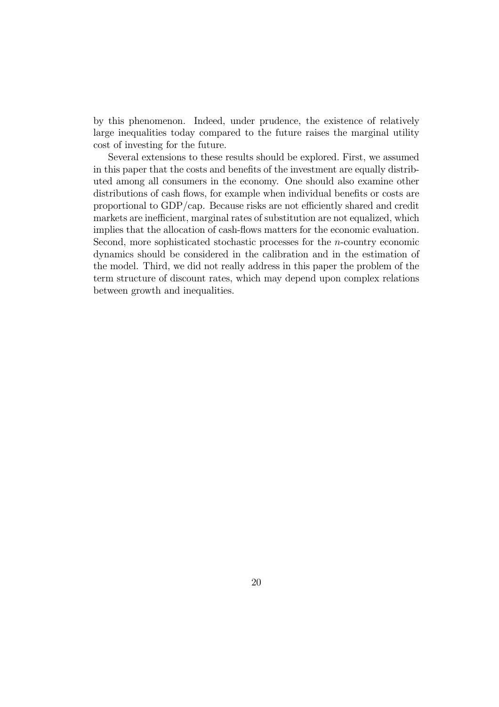by this phenomenon. Indeed, under prudence, the existence of relatively large inequalities today compared to the future raises the marginal utility cost of investing for the future.

Several extensions to these results should be explored. First, we assumed in this paper that the costs and benefits of the investment are equally distributed among all consumers in the economy. One should also examine other distributions of cash flows, for example when individual benefits or costs are proportional to GDP/cap. Because risks are not efficiently shared and credit markets are inefficient, marginal rates of substitution are not equalized, which implies that the allocation of cash-flows matters for the economic evaluation. Second, more sophisticated stochastic processes for the n-country economic dynamics should be considered in the calibration and in the estimation of the model. Third, we did not really address in this paper the problem of the term structure of discount rates, which may depend upon complex relations between growth and inequalities.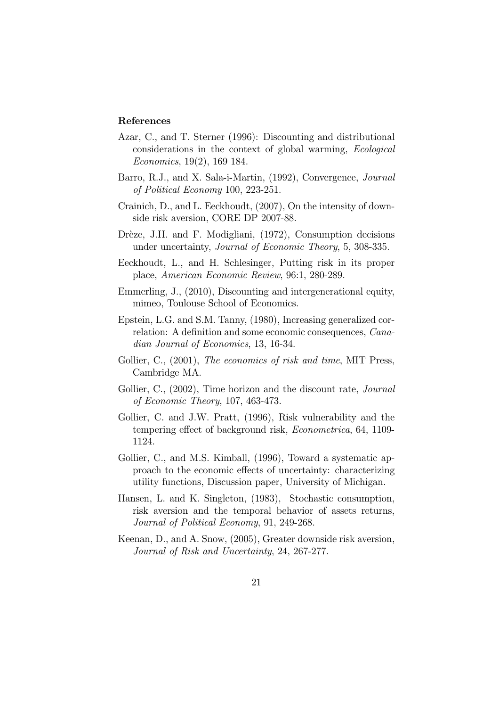#### References

- Azar, C., and T. Sterner (1996): Discounting and distributional considerations in the context of global warming, Ecological Economics, 19(2), 169 184.
- Barro, R.J., and X. Sala-i-Martin, (1992), Convergence, Journal of Political Economy 100, 223-251.
- Crainich, D., and L. Eeckhoudt, (2007), On the intensity of downside risk aversion, CORE DP 2007-88.
- Drèze, J.H. and F. Modigliani, (1972), Consumption decisions under uncertainty, Journal of Economic Theory, 5, 308-335.
- Eeckhoudt, L., and H. Schlesinger, Putting risk in its proper place, American Economic Review, 96:1, 280-289.
- Emmerling, J., (2010), Discounting and intergenerational equity, mimeo, Toulouse School of Economics.
- Epstein, L.G. and S.M. Tanny, (1980), Increasing generalized correlation: A definition and some economic consequences, Canadian Journal of Economics, 13, 16-34.
- Gollier, C., (2001), The economics of risk and time, MIT Press, Cambridge MA.
- Gollier, C., (2002), Time horizon and the discount rate, *Journal* of Economic Theory, 107, 463-473.
- Gollier, C. and J.W. Pratt, (1996), Risk vulnerability and the tempering effect of background risk, Econometrica, 64, 1109- 1124.
- Gollier, C., and M.S. Kimball, (1996), Toward a systematic approach to the economic effects of uncertainty: characterizing utility functions, Discussion paper, University of Michigan.
- Hansen, L. and K. Singleton, (1983), Stochastic consumption, risk aversion and the temporal behavior of assets returns, Journal of Political Economy, 91, 249-268.
- Keenan, D., and A. Snow, (2005), Greater downside risk aversion, Journal of Risk and Uncertainty, 24, 267-277.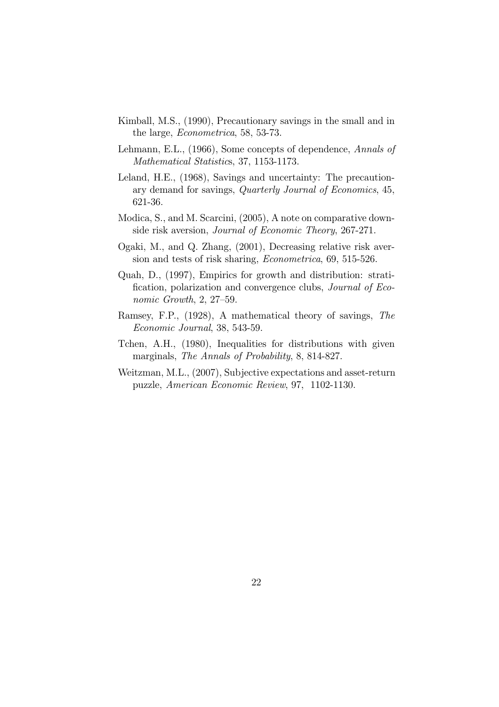- Kimball, M.S., (1990), Precautionary savings in the small and in the large, Econometrica, 58, 53-73.
- Lehmann, E.L., (1966), Some concepts of dependence, Annals of Mathematical Statistics, 37, 1153-1173.
- Leland, H.E., (1968), Savings and uncertainty: The precautionary demand for savings, Quarterly Journal of Economics, 45, 621-36.
- Modica, S., and M. Scarcini, (2005), A note on comparative downside risk aversion, Journal of Economic Theory, 267-271.
- Ogaki, M., and Q. Zhang, (2001), Decreasing relative risk aversion and tests of risk sharing, Econometrica, 69, 515-526.
- Quah, D., (1997), Empirics for growth and distribution: stratification, polarization and convergence clubs, Journal of Economic Growth, 2, 27—59.
- Ramsey, F.P., (1928), A mathematical theory of savings, The Economic Journal, 38, 543-59.
- Tchen, A.H., (1980), Inequalities for distributions with given marginals, The Annals of Probability, 8, 814-827.
- Weitzman, M.L., (2007), Subjective expectations and asset-return puzzle, American Economic Review, 97, 1102-1130.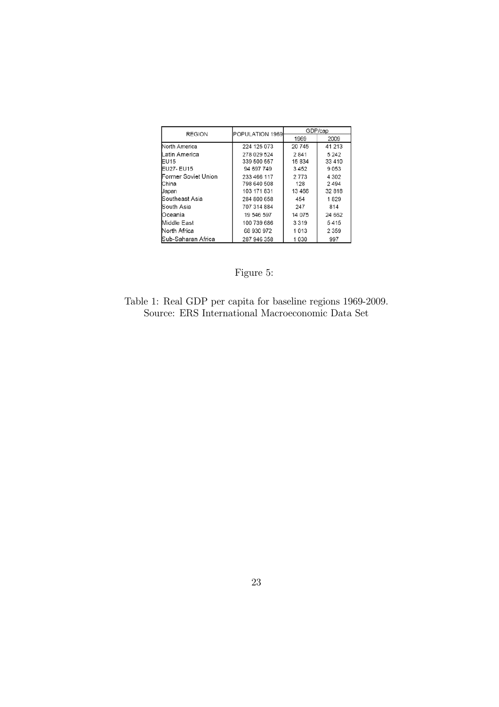| <b>REGION</b>               | POPULATION 1969 | GDP/cap |         |
|-----------------------------|-----------------|---------|---------|
|                             |                 | 1969    | 2009    |
| North America               | 224 125 073     | 20745   | 41 213  |
| Latin America               | 278 029 524     | 2841    | 5 2 4 2 |
| EU <sub>15</sub>            | 339 500 557     | 15834   | 33 4 10 |
| EU27- EU15                  | 94 697 749      | 3452    | 9053    |
| <b>IFormer Soviet Union</b> | 233 466 117     | 2773    | 4 302   |
| <b>China</b>                | 798 640 508     | 128     | 2494    |
| Uapan                       | 103 171 831     | 13466   | 32 818  |
| lSoutheast Asia             | 284 800 658     | 454     | 1829    |
| <b>I</b> South Asia         | 707 314 884     | 247     | 814     |
| Oceania                     | 19 546 597      | 14 075  | 24 662  |
| Middle East                 | 100 739 686     | 3319    | 5415    |
| North Africa                | 68 930 972      | 1013    | 2 3 5 9 |
| <b>ISub-Saharan Africa</b>  | 287 946 358     | 1030    | 997     |

# Figure 5:

Table 1: Real GDP per capita for baseline regions 1969-2009. Source: ERS International Macroeconomic Data Set